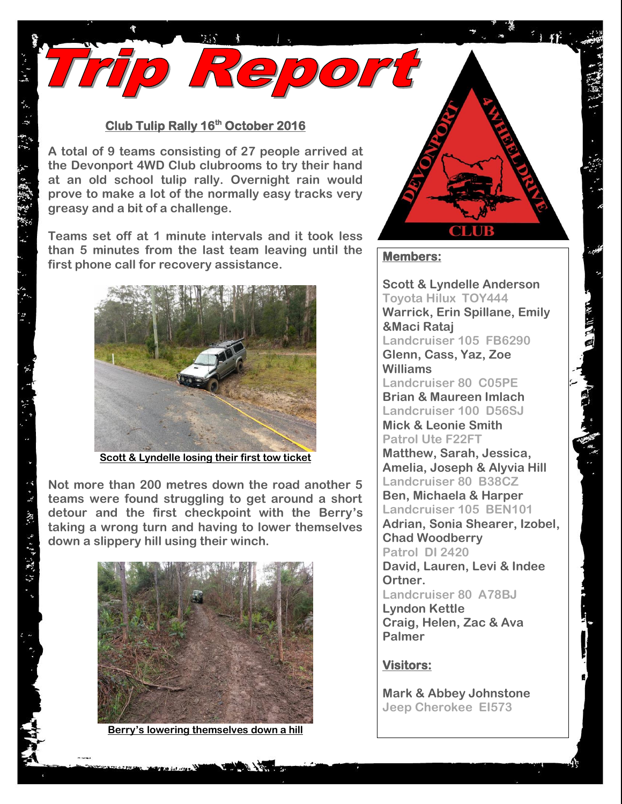## **Club Tulip Rally 16th October 2016**

Trip Report

**A total of 9 teams consisting of 27 people arrived at the Devonport 4WD Club clubrooms to try their hand at an old school tulip rally. Overnight rain would prove to make a lot of the normally easy tracks very greasy and a bit of a challenge.**

**Teams set off at 1 minute intervals and it took less than 5 minutes from the last team leaving until the first phone call for recovery assistance.**



**Scott & Lyndelle losing their first tow ticket**

**Not more than 200 metres down the road another 5 teams were found struggling to get around a short detour and the first checkpoint with the Berry's taking a wrong turn and having to lower themselves down a slippery hill using their winch.**

 $\ddot{\tilde{\xi}}$ 

· 双方 ランダ 2W 2W



**Berry's lowering themselves down a hill** 

## **Members:**

**Scott & Lyndelle Anderson Toyota Hilux TOY444 Warrick, Erin Spillane, Emily &Maci Rataj Landcruiser 105 FB6290 Glenn, Cass, Yaz, Zoe Williams Landcruiser 80 C05PE Brian & Maureen Imlach Landcruiser 100 D56SJ Mick & Leonie Smith Patrol Ute F22FT Matthew, Sarah, Jessica, Amelia, Joseph & Alyvia Hill Landcruiser 80 B38CZ Ben, Michaela & Harper Landcruiser 105 BEN101 Adrian, Sonia Shearer, Izobel, Chad Woodberry Patrol DI 2420 David, Lauren, Levi & Indee Ortner. Landcruiser 80 A78BJ Lyndon Kettle Craig, Helen, Zac & Ava Palmer**

## **Visitors:**

**Mark & Abbey Johnstone Jeep Cherokee EI573**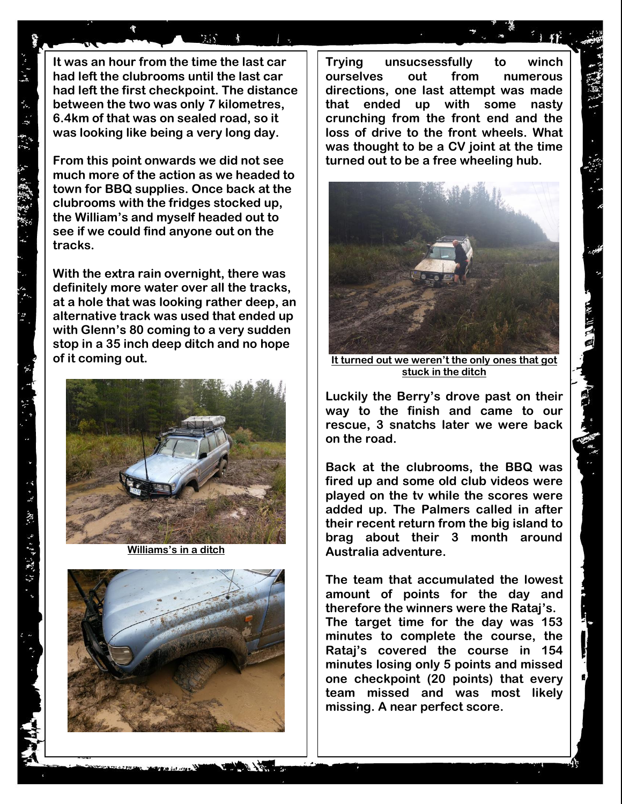**It was an hour from the time the last car had left the clubrooms until the last car had left the first checkpoint. The distance between the two was only 7 kilometres, 6.4km of that was on sealed road, so it was looking like being a very long day.**

 $\mathcal{H}(\mathcal{N})$ 

**From this point onwards we did not see much more of the action as we headed to town for BBQ supplies. Once back at the clubrooms with the fridges stocked up, the William's and myself headed out to see if we could find anyone out on the tracks.**

**With the extra rain overnight, there was definitely more water over all the tracks, at a hole that was looking rather deep, an alternative track was used that ended up with Glenn's 80 coming to a very sudden stop in a 35 inch deep ditch and no hope of it coming out.** 



**Williams's in a ditch**



**Trying unsucsessfully to winch ourselves out from numerous directions, one last attempt was made that ended up with some nasty crunching from the front end and the loss of drive to the front wheels. What was thought to be a CV joint at the time turned out to be a free wheeling hub.**



**It turned out we weren't the only ones that got stuck in the ditch**

**Luckily the Berry's drove past on their way to the finish and came to our rescue, 3 snatchs later we were back on the road.**

**Back at the clubrooms, the BBQ was fired up and some old club videos were played on the tv while the scores were added up. The Palmers called in after their recent return from the big island to brag about their 3 month around Australia adventure.**

**The team that accumulated the lowest amount of points for the day and therefore the winners were the Rataj's. The target time for the day was 153 minutes to complete the course, the Rataj's covered the course in 154 minutes losing only 5 points and missed one checkpoint (20 points) that every team missed and was most likely missing. A near perfect score.**

・ドー (株) りけた(様) アー

深い